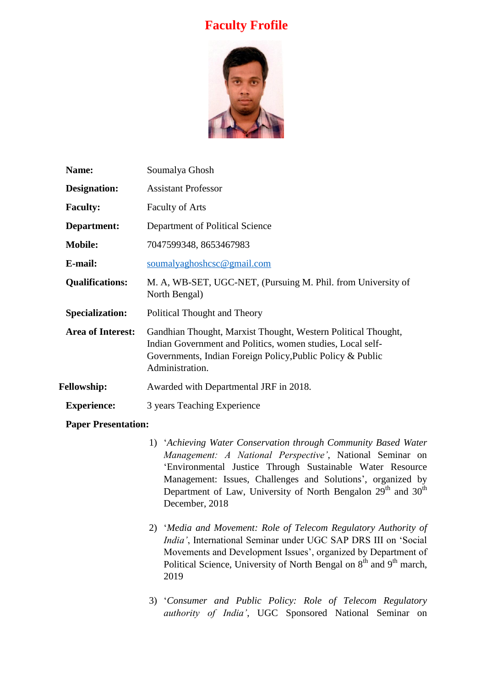## **Faculty Frofile**



| Name:                    | Soumalya Ghosh                                                                                                                                                                                               |
|--------------------------|--------------------------------------------------------------------------------------------------------------------------------------------------------------------------------------------------------------|
| Designation:             | <b>Assistant Professor</b>                                                                                                                                                                                   |
| <b>Faculty:</b>          | <b>Faculty of Arts</b>                                                                                                                                                                                       |
| Department:              | Department of Political Science                                                                                                                                                                              |
| <b>Mobile:</b>           | 7047599348, 8653467983                                                                                                                                                                                       |
| E-mail:                  | soumalyaghoshcsc@gmail.com                                                                                                                                                                                   |
| <b>Qualifications:</b>   | M. A, WB-SET, UGC-NET, (Pursuing M. Phil. from University of<br>North Bengal)                                                                                                                                |
| <b>Specialization:</b>   | Political Thought and Theory                                                                                                                                                                                 |
| <b>Area of Interest:</b> | Gandhian Thought, Marxist Thought, Western Political Thought,<br>Indian Government and Politics, women studies, Local self-<br>Governments, Indian Foreign Policy, Public Policy & Public<br>Administration. |
| <b>Fellowship:</b>       | Awarded with Departmental JRF in 2018.                                                                                                                                                                       |
| <b>Experience:</b>       | 3 years Teaching Experience                                                                                                                                                                                  |

## **Paper Presentation:**

- 1) '*Achieving Water Conservation through Community Based Water Management: A National Perspective'*, National Seminar on 'Environmental Justice Through Sustainable Water Resource Management: Issues, Challenges and Solutions', organized by Department of Law, University of North Bengalon  $29<sup>th</sup>$  and  $30<sup>th</sup>$ December, 2018
- 2) '*Media and Movement: Role of Telecom Regulatory Authority of India'*, International Seminar under UGC SAP DRS III on 'Social Movements and Development Issues', organized by Department of Political Science, University of North Bengal on  $8<sup>th</sup>$  and  $9<sup>th</sup>$  march, 2019
- 3) '*Consumer and Public Policy: Role of Telecom Regulatory authority of India'*, UGC Sponsored National Seminar on